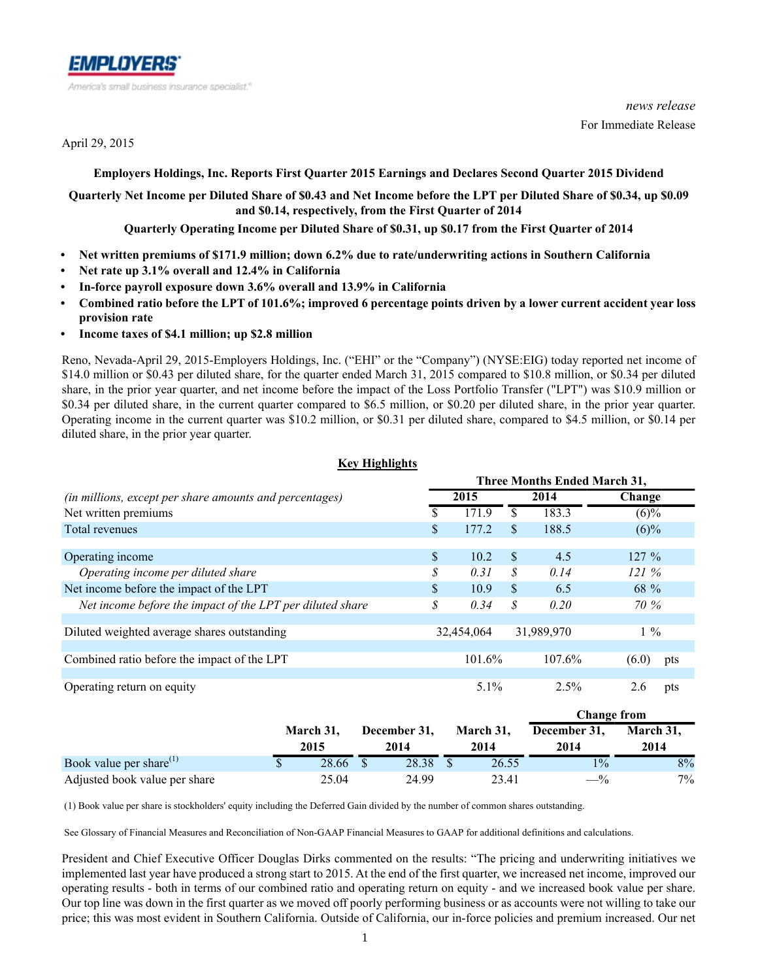

April 29, 2015

*news release* For Immediate Release

### **Employers Holdings, Inc. Reports First Quarter 2015 Earnings and Declares Second Quarter 2015 Dividend**

## **Quarterly Net Income per Diluted Share of \$0.43 and Net Income before the LPT per Diluted Share of \$0.34, up \$0.09 and \$0.14, respectively, from the First Quarter of 2014**

**Quarterly Operating Income per Diluted Share of \$0.31, up \$0.17 from the First Quarter of 2014**

- **Net written premiums of \$171.9 million; down 6.2% due to rate/underwriting actions in Southern California**
- **Net rate up 3.1% overall and 12.4% in California**
- **In-force payroll exposure down 3.6% overall and 13.9% in California**
- **Combined ratio before the LPT of 101.6%; improved 6 percentage points driven by a lower current accident year loss provision rate**
- **Income taxes of \$4.1 million; up \$2.8 million**

Reno, Nevada-April 29, 2015-Employers Holdings, Inc. ("EHI" or the "Company") (NYSE:EIG) today reported net income of \$14.0 million or \$0.43 per diluted share, for the quarter ended March 31, 2015 compared to \$10.8 million, or \$0.34 per diluted share, in the prior year quarter, and net income before the impact of the Loss Portfolio Transfer ("LPT") was \$10.9 million or \$0.34 per diluted share, in the current quarter compared to \$6.5 million, or \$0.20 per diluted share, in the prior year quarter. Operating income in the current quarter was \$10.2 million, or \$0.31 per diluted share, compared to \$4.5 million, or \$0.14 per diluted share, in the prior year quarter.

**Key Highlights**

| REV FIIGNIIGNUS                                           |                                     |            |     |            |          |     |  |  |  |  |  |
|-----------------------------------------------------------|-------------------------------------|------------|-----|------------|----------|-----|--|--|--|--|--|
|                                                           | <b>Three Months Ended March 31,</b> |            |     |            |          |     |  |  |  |  |  |
| (in millions, except per share amounts and percentages)   | 2014<br>2015                        |            |     |            | Change   |     |  |  |  |  |  |
| Net written premiums                                      |                                     | 1719       | \$. | 183.3      | $(6)\%$  |     |  |  |  |  |  |
| Total revenues                                            | \$                                  | 177.2      | \$  | 188.5      | $(6)\%$  |     |  |  |  |  |  |
|                                                           |                                     |            |     |            |          |     |  |  |  |  |  |
| Operating income                                          | \$                                  | 10.2       | \$. | 4.5        | $127 \%$ |     |  |  |  |  |  |
| Operating income per diluted share                        | \$                                  | 0.31       | S   | 0.14       | 121%     |     |  |  |  |  |  |
| Net income before the impact of the LPT                   | $\mathcal{S}$                       | 10.9       | \$  | 6.5        | 68 %     |     |  |  |  |  |  |
| Net income before the impact of the LPT per diluted share | \$                                  | 0.34       | S   | 0.20       | 70 %     |     |  |  |  |  |  |
| Diluted weighted average shares outstanding               |                                     | 32,454,064 |     | 31,989,970 | $1\%$    |     |  |  |  |  |  |
|                                                           |                                     |            |     |            |          |     |  |  |  |  |  |
| Combined ratio before the impact of the LPT               |                                     | 101.6%     |     | 107.6%     | (6.0)    | pts |  |  |  |  |  |
|                                                           |                                     |            |     |            |          |     |  |  |  |  |  |
| Operating return on equity                                |                                     | $5.1\%$    |     | 2.5%       | 2.6      | pts |  |  |  |  |  |

|                               |                   |                      |                   | Change from          |                   |
|-------------------------------|-------------------|----------------------|-------------------|----------------------|-------------------|
|                               | March 31.<br>2015 | December 31,<br>2014 | March 31,<br>2014 | December 31,<br>2014 | March 31.<br>2014 |
| Book value per share $^{(1)}$ | 28.66             | 28.38                | 26.55             | $1\%$                | 8%                |
| Adjusted book value per share | 25.04             | 24.99                | 23.41             | $-$ %                | $7\%$             |

(1) Book value per share is stockholders' equity including the Deferred Gain divided by the number of common shares outstanding.

See Glossary of Financial Measures and Reconciliation of Non-GAAP Financial Measures to GAAP for additional definitions and calculations.

President and Chief Executive Officer Douglas Dirks commented on the results: "The pricing and underwriting initiatives we implemented last year have produced a strong start to 2015. At the end of the first quarter, we increased net income, improved our operating results - both in terms of our combined ratio and operating return on equity - and we increased book value per share. Our top line was down in the first quarter as we moved off poorly performing business or as accounts were not willing to take our price; this was most evident in Southern California. Outside of California, our in-force policies and premium increased. Our net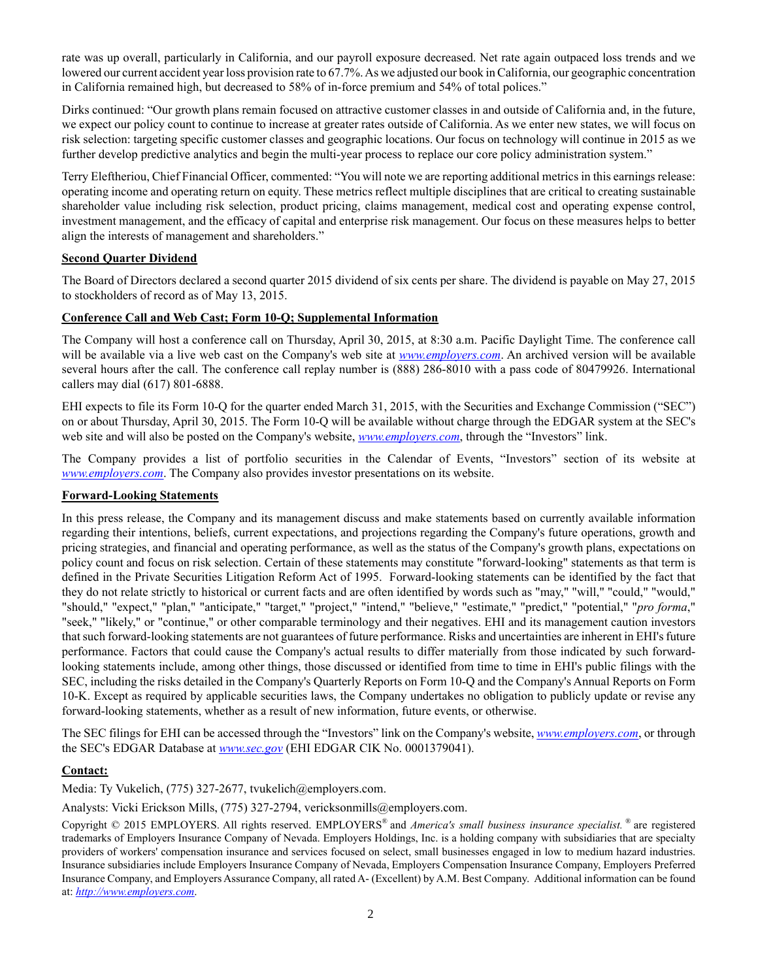rate was up overall, particularly in California, and our payroll exposure decreased. Net rate again outpaced loss trends and we lowered our current accident year loss provision rate to 67.7%. As we adjusted our book in California, our geographic concentration in California remained high, but decreased to 58% of in-force premium and 54% of total polices."

Dirks continued: "Our growth plans remain focused on attractive customer classes in and outside of California and, in the future, we expect our policy count to continue to increase at greater rates outside of California. As we enter new states, we will focus on risk selection: targeting specific customer classes and geographic locations. Our focus on technology will continue in 2015 as we further develop predictive analytics and begin the multi-year process to replace our core policy administration system."

Terry Eleftheriou, Chief Financial Officer, commented: "You will note we are reporting additional metrics in this earnings release: operating income and operating return on equity. These metrics reflect multiple disciplines that are critical to creating sustainable shareholder value including risk selection, product pricing, claims management, medical cost and operating expense control, investment management, and the efficacy of capital and enterprise risk management. Our focus on these measures helps to better align the interests of management and shareholders."

### **Second Quarter Dividend**

The Board of Directors declared a second quarter 2015 dividend of six cents per share. The dividend is payable on May 27, 2015 to stockholders of record as of May 13, 2015.

### **Conference Call and Web Cast; Form 10-Q; Supplemental Information**

The Company will host a conference call on Thursday, April 30, 2015, at 8:30 a.m. Pacific Daylight Time. The conference call will be available via a live web cast on the Company's web site at *www.employers.com*. An archived version will be available several hours after the call. The conference call replay number is (888) 286-8010 with a pass code of 80479926. International callers may dial (617) 801-6888.

EHI expects to file its Form 10-Q for the quarter ended March 31, 2015, with the Securities and Exchange Commission ("SEC") on or about Thursday, April 30, 2015. The Form 10-Q will be available without charge through the EDGAR system at the SEC's web site and will also be posted on the Company's website, *www.employers.com*, through the "Investors" link.

The Company provides a list of portfolio securities in the Calendar of Events, "Investors" section of its website at *www.employers.com*. The Company also provides investor presentations on its website.

### **Forward-Looking Statements**

In this press release, the Company and its management discuss and make statements based on currently available information regarding their intentions, beliefs, current expectations, and projections regarding the Company's future operations, growth and pricing strategies, and financial and operating performance, as well as the status of the Company's growth plans, expectations on policy count and focus on risk selection. Certain of these statements may constitute "forward-looking" statements as that term is defined in the Private Securities Litigation Reform Act of 1995. Forward-looking statements can be identified by the fact that they do not relate strictly to historical or current facts and are often identified by words such as "may," "will," "could," "would," "should," "expect," "plan," "anticipate," "target," "project," "intend," "believe," "estimate," "predict," "potential," "*pro forma*," "seek," "likely," or "continue," or other comparable terminology and their negatives. EHI and its management caution investors that such forward-looking statements are not guarantees of future performance. Risks and uncertainties are inherent in EHI's future performance. Factors that could cause the Company's actual results to differ materially from those indicated by such forwardlooking statements include, among other things, those discussed or identified from time to time in EHI's public filings with the SEC, including the risks detailed in the Company's Quarterly Reports on Form 10-Q and the Company's Annual Reports on Form 10-K. Except as required by applicable securities laws, the Company undertakes no obligation to publicly update or revise any forward-looking statements, whether as a result of new information, future events, or otherwise.

The SEC filings for EHI can be accessed through the "Investors" link on the Company's website, *www.employers.com*, or through the SEC's EDGAR Database at *www.sec.gov* (EHI EDGAR CIK No. 0001379041).

### **Contact:**

Media: Ty Vukelich, (775) 327-2677, tvukelich@employers.com.

Analysts: Vicki Erickson Mills, (775) 327-2794, vericksonmills@employers.com.

Copyright © 2015 EMPLOYERS. All rights reserved. EMPLOYERS® and *America's small business insurance specialist.* ® are registered trademarks of Employers Insurance Company of Nevada. Employers Holdings, Inc. is a holding company with subsidiaries that are specialty providers of workers' compensation insurance and services focused on select, small businesses engaged in low to medium hazard industries. Insurance subsidiaries include Employers Insurance Company of Nevada, Employers Compensation Insurance Company, Employers Preferred Insurance Company, and Employers Assurance Company, all rated A- (Excellent) by A.M. Best Company. Additional information can be found at: *http://www.employers.com*.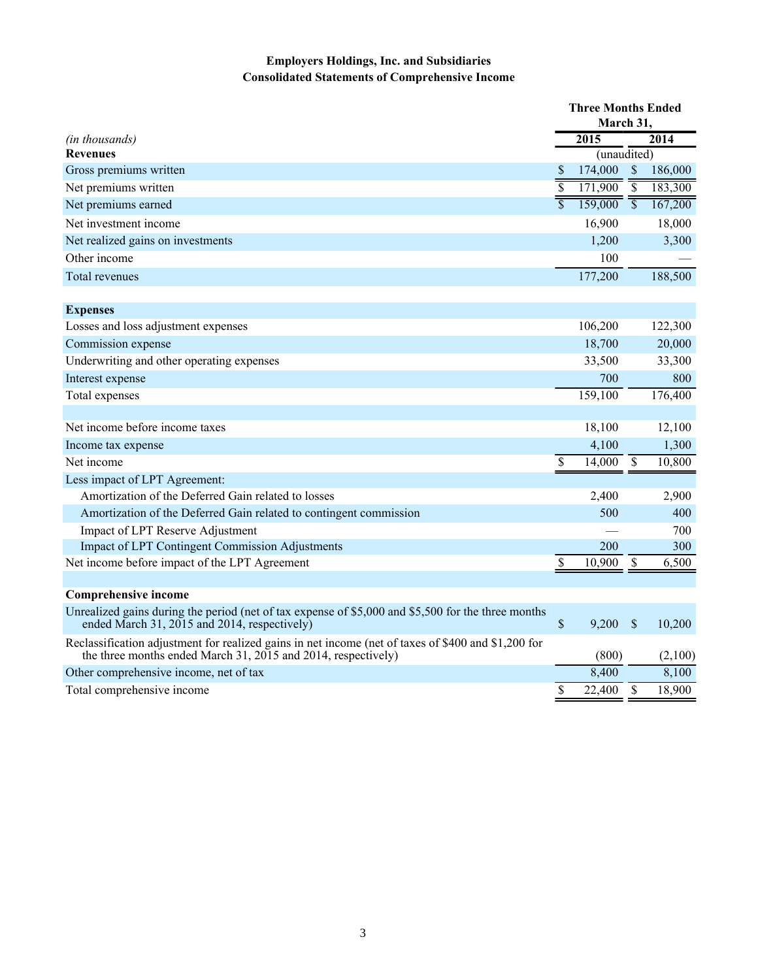# **Employers Holdings, Inc. and Subsidiaries Consolidated Statements of Comprehensive Income**

|                                                                                                                                                                      |                          | <b>Three Months Ended</b> |                           |         |
|----------------------------------------------------------------------------------------------------------------------------------------------------------------------|--------------------------|---------------------------|---------------------------|---------|
|                                                                                                                                                                      |                          | March 31.                 |                           |         |
| (in thousands)                                                                                                                                                       |                          | 2015                      |                           | 2014    |
| <b>Revenues</b>                                                                                                                                                      |                          | (unaudited)               |                           |         |
| Gross premiums written                                                                                                                                               | <sup>S</sup>             | 174,000                   | $\mathcal{S}$             | 186,000 |
| Net premiums written                                                                                                                                                 | $\overline{\$}$          | 171,900                   | $\overline{\mathcal{S}}$  | 183,300 |
| Net premiums earned                                                                                                                                                  | $\overline{\mathcal{S}}$ | 159,000                   | $\overline{\mathbb{S}}$   | 167,200 |
| Net investment income                                                                                                                                                |                          | 16,900                    |                           | 18,000  |
| Net realized gains on investments                                                                                                                                    |                          | 1,200                     |                           | 3,300   |
| Other income                                                                                                                                                         |                          | 100                       |                           |         |
| Total revenues                                                                                                                                                       |                          | 177,200                   |                           | 188,500 |
| <b>Expenses</b>                                                                                                                                                      |                          |                           |                           |         |
| Losses and loss adjustment expenses                                                                                                                                  |                          | 106,200                   |                           | 122,300 |
| Commission expense                                                                                                                                                   |                          | 18,700                    |                           | 20,000  |
| Underwriting and other operating expenses                                                                                                                            |                          | 33,500                    |                           | 33,300  |
| Interest expense                                                                                                                                                     |                          | 700                       |                           | 800     |
| Total expenses                                                                                                                                                       |                          | 159,100                   |                           | 176,400 |
|                                                                                                                                                                      |                          |                           |                           |         |
| Net income before income taxes                                                                                                                                       |                          | 18,100                    |                           | 12,100  |
| Income tax expense                                                                                                                                                   |                          | 4,100                     |                           | 1,300   |
| Net income                                                                                                                                                           | \$                       | 14,000                    | $\boldsymbol{\mathsf{S}}$ | 10,800  |
| Less impact of LPT Agreement:                                                                                                                                        |                          |                           |                           |         |
| Amortization of the Deferred Gain related to losses                                                                                                                  |                          | 2,400                     |                           | 2,900   |
| Amortization of the Deferred Gain related to contingent commission                                                                                                   |                          | 500                       |                           | 400     |
| Impact of LPT Reserve Adjustment                                                                                                                                     |                          |                           |                           | 700     |
| <b>Impact of LPT Contingent Commission Adjustments</b>                                                                                                               |                          | 200                       |                           | 300     |
| Net income before impact of the LPT Agreement                                                                                                                        | \$                       | 10,900                    | \$                        | 6,500   |
|                                                                                                                                                                      |                          |                           |                           |         |
| <b>Comprehensive income</b>                                                                                                                                          |                          |                           |                           |         |
| Unrealized gains during the period (net of tax expense of \$5,000 and \$5,500 for the three months<br>ended March 31, 2015 and 2014, respectively)                   | $\mathbb S$              | 9,200                     | \$                        | 10,200  |
| Reclassification adjustment for realized gains in net income (net of taxes of \$400 and \$1,200 for<br>the three months ended March 31, 2015 and 2014, respectively) |                          | (800)                     |                           | (2,100) |
| Other comprehensive income, net of tax                                                                                                                               |                          | 8,400                     |                           | 8,100   |
| Total comprehensive income                                                                                                                                           | \$                       | 22,400                    | $\mathcal{S}$             | 18,900  |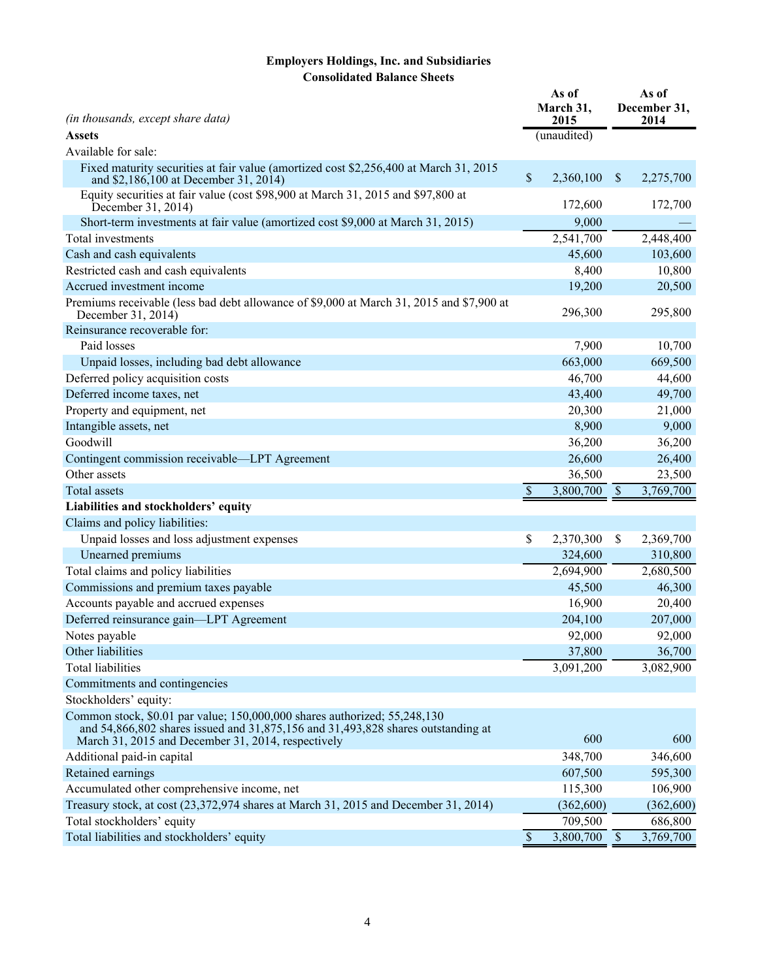# **Employers Holdings, Inc. and Subsidiaries Consolidated Balance Sheets**

| (in thousands, except share data)                                                                                                                                                                                   |                           | As of<br>March 31,<br>2015 | As of<br>December 31,<br>2014 |            |  |  |
|---------------------------------------------------------------------------------------------------------------------------------------------------------------------------------------------------------------------|---------------------------|----------------------------|-------------------------------|------------|--|--|
| <b>Assets</b>                                                                                                                                                                                                       |                           | (unaudited)                |                               |            |  |  |
| Available for sale:                                                                                                                                                                                                 |                           |                            |                               |            |  |  |
| Fixed maturity securities at fair value (amortized cost \$2,256,400 at March 31, 2015<br>and \$2,186,100 at December 31, 2014)                                                                                      | \$                        | 2,360,100                  | $\sqrt{\ }$                   | 2,275,700  |  |  |
| Equity securities at fair value (cost \$98,900 at March 31, 2015 and \$97,800 at<br>December 31, 2014)                                                                                                              |                           | 172,600                    |                               | 172,700    |  |  |
| Short-term investments at fair value (amortized cost \$9,000 at March 31, 2015)                                                                                                                                     |                           | 9,000                      |                               |            |  |  |
| Total investments                                                                                                                                                                                                   |                           | 2,541,700                  |                               | 2,448,400  |  |  |
| Cash and cash equivalents                                                                                                                                                                                           |                           | 45,600                     |                               | 103,600    |  |  |
| Restricted cash and cash equivalents                                                                                                                                                                                |                           | 8,400                      |                               | 10,800     |  |  |
| Accrued investment income                                                                                                                                                                                           |                           | 19,200                     |                               | 20,500     |  |  |
| Premiums receivable (less bad debt allowance of \$9,000 at March 31, 2015 and \$7,900 at<br>December 31, 2014)                                                                                                      |                           | 296,300                    |                               | 295,800    |  |  |
| Reinsurance recoverable for:                                                                                                                                                                                        |                           |                            |                               |            |  |  |
| Paid losses                                                                                                                                                                                                         |                           | 7,900                      |                               | 10,700     |  |  |
| Unpaid losses, including bad debt allowance                                                                                                                                                                         |                           | 663,000                    |                               | 669,500    |  |  |
| Deferred policy acquisition costs                                                                                                                                                                                   |                           | 46,700                     |                               | 44,600     |  |  |
| Deferred income taxes, net                                                                                                                                                                                          |                           | 43,400                     |                               | 49,700     |  |  |
| Property and equipment, net                                                                                                                                                                                         |                           | 20,300                     |                               | 21,000     |  |  |
| Intangible assets, net                                                                                                                                                                                              |                           | 8,900                      |                               | 9,000      |  |  |
| Goodwill                                                                                                                                                                                                            |                           | 36,200                     |                               | 36,200     |  |  |
| Contingent commission receivable—LPT Agreement                                                                                                                                                                      |                           | 26,600                     |                               | 26,400     |  |  |
| Other assets                                                                                                                                                                                                        |                           | 36,500                     |                               | 23,500     |  |  |
| <b>Total assets</b>                                                                                                                                                                                                 | $\boldsymbol{\mathsf{S}}$ | 3,800,700                  | $\sqrt$                       | 3,769,700  |  |  |
| Liabilities and stockholders' equity                                                                                                                                                                                |                           |                            |                               |            |  |  |
| Claims and policy liabilities:                                                                                                                                                                                      |                           |                            |                               |            |  |  |
| Unpaid losses and loss adjustment expenses                                                                                                                                                                          | \$                        | 2,370,300                  | \$                            | 2,369,700  |  |  |
| Unearned premiums                                                                                                                                                                                                   |                           | 324,600                    |                               | 310,800    |  |  |
| Total claims and policy liabilities                                                                                                                                                                                 |                           | 2,694,900                  |                               | 2,680,500  |  |  |
| Commissions and premium taxes payable                                                                                                                                                                               |                           | 45,500                     |                               | 46,300     |  |  |
| Accounts payable and accrued expenses                                                                                                                                                                               |                           | 16,900                     |                               | 20,400     |  |  |
| Deferred reinsurance gain-LPT Agreement                                                                                                                                                                             |                           | 204,100                    |                               | 207,000    |  |  |
| Notes payable                                                                                                                                                                                                       |                           | 92,000                     |                               | 92,000     |  |  |
| Other liabilities                                                                                                                                                                                                   |                           | 37,800                     |                               | 36,700     |  |  |
| Total liabilities                                                                                                                                                                                                   |                           | 3,091,200                  |                               | 3,082,900  |  |  |
| Commitments and contingencies                                                                                                                                                                                       |                           |                            |                               |            |  |  |
| Stockholders' equity:                                                                                                                                                                                               |                           |                            |                               |            |  |  |
| Common stock, \$0.01 par value; 150,000,000 shares authorized; 55,248,130<br>and 54,866,802 shares issued and 31,875,156 and 31,493,828 shares outstanding at<br>March 31, 2015 and December 31, 2014, respectively |                           | 600                        |                               | 600        |  |  |
| Additional paid-in capital                                                                                                                                                                                          |                           | 348,700                    |                               | 346,600    |  |  |
| Retained earnings                                                                                                                                                                                                   |                           | 607,500                    |                               | 595,300    |  |  |
| Accumulated other comprehensive income, net                                                                                                                                                                         |                           | 115,300                    |                               | 106,900    |  |  |
| Treasury stock, at cost (23,372,974 shares at March 31, 2015 and December 31, 2014)                                                                                                                                 |                           | (362,600)                  |                               | (362, 600) |  |  |
| Total stockholders' equity                                                                                                                                                                                          |                           | 709,500                    |                               | 686,800    |  |  |
| Total liabilities and stockholders' equity                                                                                                                                                                          | \$                        | 3,800,700                  | $\sqrt{\ }$                   | 3,769,700  |  |  |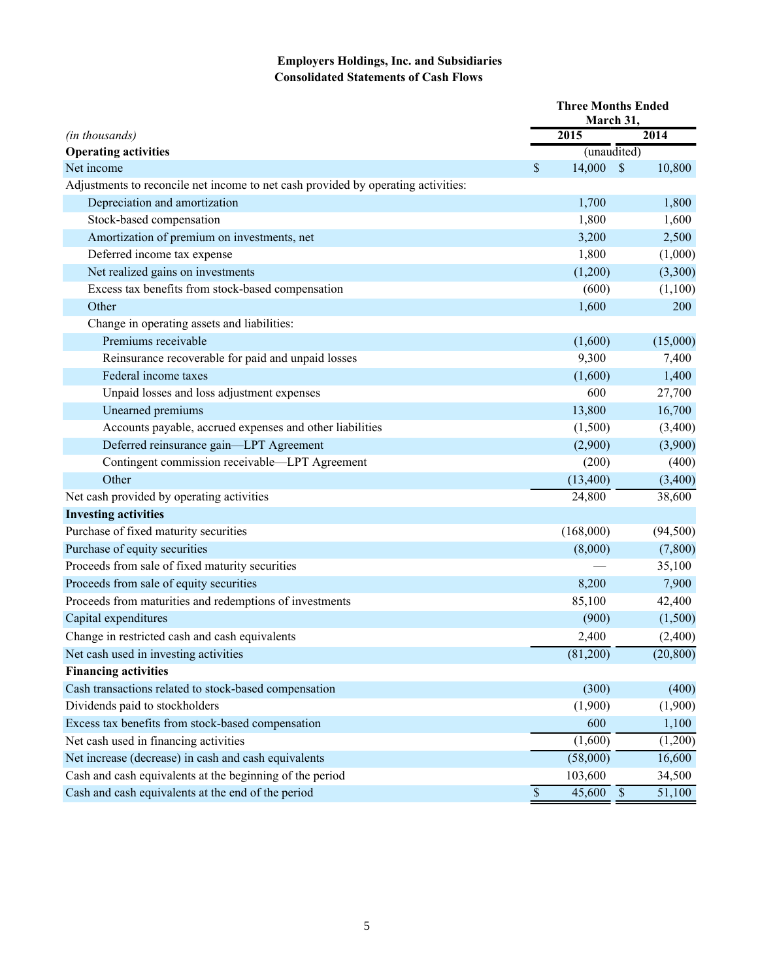# **Employers Holdings, Inc. and Subsidiaries Consolidated Statements of Cash Flows**

|                                                                                   | <b>Three Months Ended</b><br>March 31, |             |            |           |  |  |  |  |
|-----------------------------------------------------------------------------------|----------------------------------------|-------------|------------|-----------|--|--|--|--|
| (in thousands)                                                                    |                                        | 2015        |            | 2014      |  |  |  |  |
| <b>Operating activities</b>                                                       |                                        | (unaudited) |            |           |  |  |  |  |
| Net income                                                                        | \$                                     | 14,000      | $\sqrt{S}$ | 10,800    |  |  |  |  |
| Adjustments to reconcile net income to net cash provided by operating activities: |                                        |             |            |           |  |  |  |  |
| Depreciation and amortization                                                     |                                        | 1,700       |            | 1,800     |  |  |  |  |
| Stock-based compensation                                                          |                                        | 1,800       |            | 1,600     |  |  |  |  |
| Amortization of premium on investments, net                                       |                                        | 3,200       |            | 2,500     |  |  |  |  |
| Deferred income tax expense                                                       |                                        | 1,800       |            | (1,000)   |  |  |  |  |
| Net realized gains on investments                                                 |                                        | (1,200)     |            | (3,300)   |  |  |  |  |
| Excess tax benefits from stock-based compensation                                 |                                        | (600)       |            | (1,100)   |  |  |  |  |
| Other                                                                             |                                        | 1,600       |            | 200       |  |  |  |  |
| Change in operating assets and liabilities:                                       |                                        |             |            |           |  |  |  |  |
| Premiums receivable                                                               |                                        | (1,600)     |            | (15,000)  |  |  |  |  |
| Reinsurance recoverable for paid and unpaid losses                                |                                        | 9,300       |            | 7,400     |  |  |  |  |
| Federal income taxes                                                              |                                        | (1,600)     |            | 1,400     |  |  |  |  |
| Unpaid losses and loss adjustment expenses                                        |                                        | 600         |            | 27,700    |  |  |  |  |
| Unearned premiums                                                                 |                                        | 13,800      |            | 16,700    |  |  |  |  |
| Accounts payable, accrued expenses and other liabilities                          |                                        | (1,500)     |            | (3,400)   |  |  |  |  |
| Deferred reinsurance gain-LPT Agreement                                           |                                        | (2,900)     |            | (3,900)   |  |  |  |  |
| Contingent commission receivable-LPT Agreement                                    |                                        | (200)       |            | (400)     |  |  |  |  |
| Other                                                                             |                                        | (13,400)    |            | (3,400)   |  |  |  |  |
| Net cash provided by operating activities                                         |                                        | 24,800      |            | 38,600    |  |  |  |  |
| <b>Investing activities</b>                                                       |                                        |             |            |           |  |  |  |  |
| Purchase of fixed maturity securities                                             |                                        | (168,000)   |            | (94, 500) |  |  |  |  |
| Purchase of equity securities                                                     |                                        | (8,000)     |            | (7,800)   |  |  |  |  |
| Proceeds from sale of fixed maturity securities                                   |                                        |             |            | 35,100    |  |  |  |  |
| Proceeds from sale of equity securities                                           |                                        | 8,200       |            | 7,900     |  |  |  |  |
| Proceeds from maturities and redemptions of investments                           |                                        | 85,100      |            | 42,400    |  |  |  |  |
| Capital expenditures                                                              |                                        | (900)       |            | (1,500)   |  |  |  |  |
| Change in restricted cash and cash equivalents                                    |                                        | 2,400       |            | (2,400)   |  |  |  |  |
| Net cash used in investing activities                                             |                                        | (81,200)    |            | (20, 800) |  |  |  |  |
| <b>Financing activities</b>                                                       |                                        |             |            |           |  |  |  |  |
| Cash transactions related to stock-based compensation                             |                                        | (300)       |            | (400)     |  |  |  |  |
| Dividends paid to stockholders                                                    |                                        | (1,900)     |            | (1,900)   |  |  |  |  |
| Excess tax benefits from stock-based compensation                                 |                                        | 600         |            | 1,100     |  |  |  |  |
| Net cash used in financing activities                                             |                                        | (1,600)     |            | (1,200)   |  |  |  |  |
| Net increase (decrease) in cash and cash equivalents                              |                                        | (58,000)    |            | 16,600    |  |  |  |  |
| Cash and cash equivalents at the beginning of the period                          |                                        | 103,600     |            | 34,500    |  |  |  |  |
| Cash and cash equivalents at the end of the period                                | $\mathbb{S}$                           | 45,600      | $\sqrt{S}$ | 51,100    |  |  |  |  |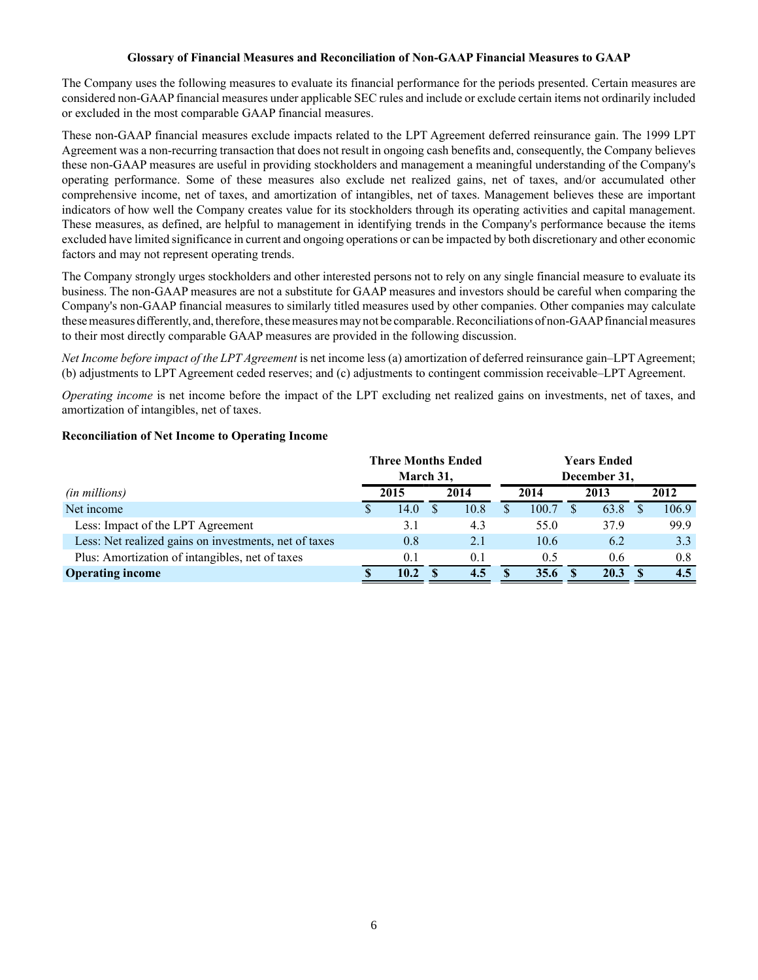#### **Glossary of Financial Measures and Reconciliation of Non-GAAP Financial Measures to GAAP**

The Company uses the following measures to evaluate its financial performance for the periods presented. Certain measures are considered non-GAAPfinancial measures under applicable SEC rules and include or exclude certain items not ordinarily included or excluded in the most comparable GAAP financial measures.

These non-GAAP financial measures exclude impacts related to the LPT Agreement deferred reinsurance gain. The 1999 LPT Agreement was a non-recurring transaction that does not result in ongoing cash benefits and, consequently, the Company believes these non-GAAP measures are useful in providing stockholders and management a meaningful understanding of the Company's operating performance. Some of these measures also exclude net realized gains, net of taxes, and/or accumulated other comprehensive income, net of taxes, and amortization of intangibles, net of taxes. Management believes these are important indicators of how well the Company creates value for its stockholders through its operating activities and capital management. These measures, as defined, are helpful to management in identifying trends in the Company's performance because the items excluded have limited significance in current and ongoing operations or can be impacted by both discretionary and other economic factors and may not represent operating trends.

The Company strongly urges stockholders and other interested persons not to rely on any single financial measure to evaluate its business. The non-GAAP measures are not a substitute for GAAP measures and investors should be careful when comparing the Company's non-GAAPfinancial measures to similarly titled measures used by other companies. Other companies may calculate these measures differently, and, therefore, these measures may not be comparable. Reconciliations of non-GAAPfinancial measures to their most directly comparable GAAP measures are provided in the following discussion.

*Net Income before impact of the LPT Agreement* is net income less (a) amortization of deferred reinsurance gain–LPT Agreement; (b) adjustments to LPT Agreement ceded reserves; and (c) adjustments to contingent commission receivable*–*LPT Agreement.

*Operating income* is net income before the impact of the LPT excluding net realized gains on investments, net of taxes, and amortization of intangibles, net of taxes.

#### **Reconciliation of Net Income to Operating Income**

|                                                       | <b>Three Months Ended</b> |           |          |      |   |       |   |              |  |       |
|-------------------------------------------------------|---------------------------|-----------|----------|------|---|-------|---|--------------|--|-------|
|                                                       |                           | March 31, |          |      |   |       |   | December 31, |  |       |
| ( <i>in millions</i> )                                |                           | 2015      |          | 2014 |   | 2014  |   | 2013         |  | 2012  |
| Net income                                            |                           | 14.0      |          | 10.8 | S | 100.7 |   | 63.8         |  | 106.9 |
| Less: Impact of the LPT Agreement                     |                           | 3.1       |          | 4.3  |   | 55.0  |   | 37.9         |  | 99.9  |
| Less: Net realized gains on investments, net of taxes |                           | 0.8       |          | 2.1  |   | 10.6  |   | 6.2          |  | 3.3   |
| Plus: Amortization of intangibles, net of taxes       |                           | 0.1       |          | 0.1  |   | 0.5   |   | 0.6          |  | 0.8   |
| <b>Operating income</b>                               |                           | 10.2      | <b>S</b> | 4.5  |   | 35.6  | S | 20.3         |  | 4.5   |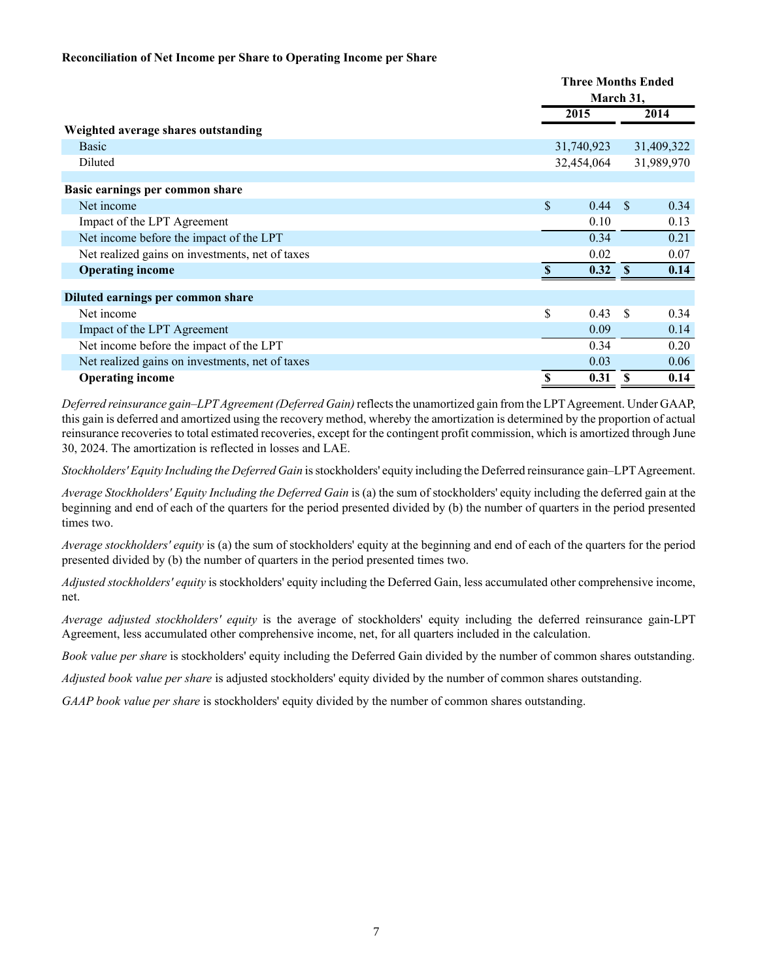#### **Reconciliation of Net Income per Share to Operating Income per Share**

|                                                 | <b>Three Months Ended</b> |              |            |  |  |
|-------------------------------------------------|---------------------------|--------------|------------|--|--|
|                                                 | March 31,                 |              |            |  |  |
|                                                 | 2015                      |              | 2014       |  |  |
| Weighted average shares outstanding             |                           |              |            |  |  |
| <b>Basic</b>                                    | 31,740,923                |              | 31,409,322 |  |  |
| Diluted                                         | 32,454,064                |              | 31,989,970 |  |  |
|                                                 |                           |              |            |  |  |
| Basic earnings per common share                 |                           |              |            |  |  |
| Net income                                      | \$<br>0.44                | - \$         | 0.34       |  |  |
| Impact of the LPT Agreement                     | 0.10                      |              | 0.13       |  |  |
| Net income before the impact of the LPT         | 0.34                      |              | 0.21       |  |  |
| Net realized gains on investments, net of taxes | 0.02                      |              | 0.07       |  |  |
| <b>Operating income</b>                         | 0.32 S                    |              | 0.14       |  |  |
| Diluted earnings per common share               |                           |              |            |  |  |
| Net income                                      | \$<br>0.43                | - \$         | 0.34       |  |  |
| Impact of the LPT Agreement                     | 0.09                      |              | 0.14       |  |  |
| Net income before the impact of the LPT         | 0.34                      |              | 0.20       |  |  |
| Net realized gains on investments, net of taxes | 0.03                      |              | 0.06       |  |  |
| <b>Operating income</b>                         | \$<br>0.31                | $\mathbf{s}$ | 0.14       |  |  |

*Deferred reinsurance gain–LPTAgreement (Deferred Gain)* reflects the unamortized gain from the LPTAgreement. Under GAAP, this gain is deferred and amortized using the recovery method, whereby the amortization is determined by the proportion of actual reinsurance recoveries to total estimated recoveries, except for the contingent profit commission, which is amortized through June 30, 2024. The amortization is reflected in losses and LAE.

*Stockholders' Equity Including the Deferred Gain* is stockholders' equity including the Deferred reinsurance gain–LPT Agreement.

*Average Stockholders' Equity Including the Deferred Gain* is (a) the sum of stockholders' equity including the deferred gain at the beginning and end of each of the quarters for the period presented divided by (b) the number of quarters in the period presented times two.

*Average stockholders' equity* is (a) the sum of stockholders' equity at the beginning and end of each of the quarters for the period presented divided by (b) the number of quarters in the period presented times two.

*Adjusted stockholders' equity* is stockholders' equity including the Deferred Gain, less accumulated other comprehensive income, net.

*Average adjusted stockholders' equity* is the average of stockholders' equity including the deferred reinsurance gain-LPT Agreement, less accumulated other comprehensive income, net, for all quarters included in the calculation.

*Book value per share* is stockholders' equity including the Deferred Gain divided by the number of common shares outstanding.

*Adjusted book value per share* is adjusted stockholders' equity divided by the number of common shares outstanding.

*GAAP book value per share* is stockholders' equity divided by the number of common shares outstanding.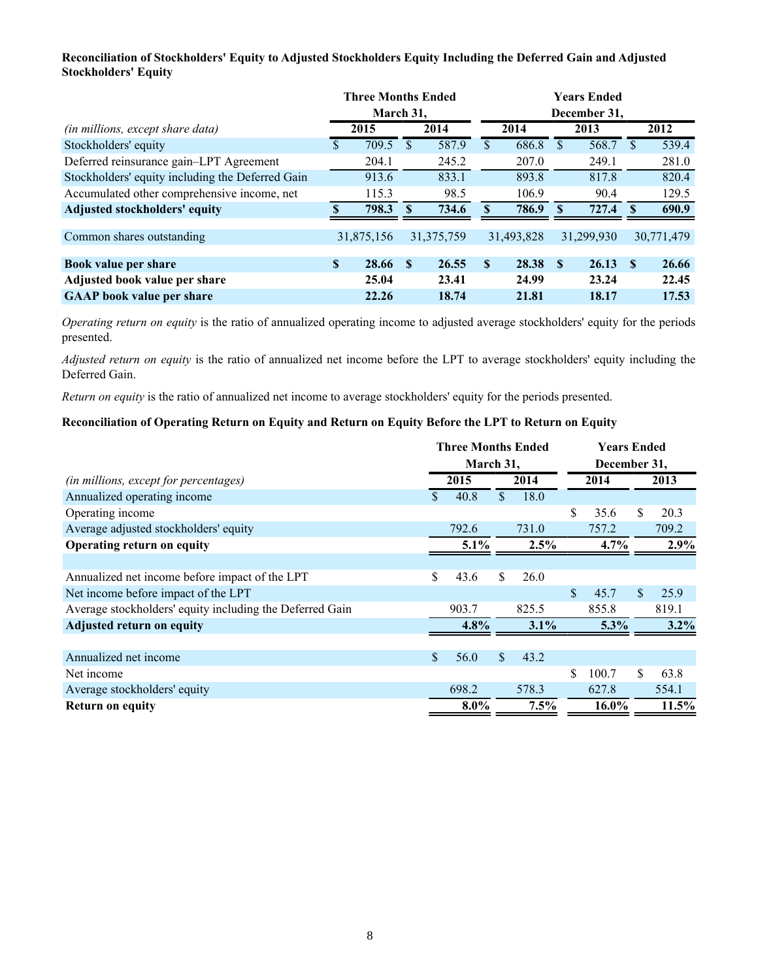## **Reconciliation of Stockholders' Equity to Adjusted Stockholders Equity Including the Deferred Gain and Adjusted Stockholders' Equity**

|                                                  | <b>Three Months Ended</b> |            |    |              |      |            | <b>Years Ended</b> |              |              |            |
|--------------------------------------------------|---------------------------|------------|----|--------------|------|------------|--------------------|--------------|--------------|------------|
|                                                  |                           | March 31,  |    |              |      |            |                    | December 31, |              |            |
| (in millions, except share data)                 | 2014<br>2015              |            |    |              | 2014 | 2013       | 2012               |              |              |            |
| Stockholders' equity                             | \$                        | 709.5      | S  | 587.9        | \$   | 686.8      |                    | 568.7        |              | 539.4      |
| Deferred reinsurance gain-LPT Agreement          |                           | 204.1      |    | 245.2        |      | 207.0      |                    | 249.1        |              | 281.0      |
| Stockholders' equity including the Deferred Gain |                           | 913.6      |    | 833.1        |      | 893.8      |                    | 817.8        |              | 820.4      |
| Accumulated other comprehensive income, net      |                           | 115.3      |    | 98.5         |      | 106.9      |                    | 90.4         |              | 129.5      |
| <b>Adjusted stockholders' equity</b>             |                           | 798.3      |    | 734.6        | S    | 786.9      |                    | 727.4        |              | 690.9      |
|                                                  |                           |            |    |              |      |            |                    |              |              |            |
| Common shares outstanding                        |                           | 31,875,156 |    | 31, 375, 759 |      | 31,493,828 |                    | 31,299,930   |              | 30,771,479 |
|                                                  |                           |            |    |              |      |            |                    |              |              |            |
| Book value per share                             | \$                        | 28.66      | -S | 26.55        | \$   | 28.38      | -S                 | 26.13        | $\mathbf{s}$ | 26.66      |
| Adjusted book value per share                    |                           | 25.04      |    | 23.41        |      | 24.99      |                    | 23.24        |              | 22.45      |
| <b>GAAP</b> book value per share                 |                           | 22.26      |    | 18.74        |      | 21.81      |                    | 18.17        |              | 17.53      |

*Operating return on equity* is the ratio of annualized operating income to adjusted average stockholders' equity for the periods presented.

*Adjusted return on equity* is the ratio of annualized net income before the LPT to average stockholders' equity including the Deferred Gain.

*Return on equity* is the ratio of annualized net income to average stockholders' equity for the periods presented.

## **Reconciliation of Operating Return on Equity and Return on Equity Before the LPT to Return on Equity**

|                                                          | <b>Three Months Ended</b> |         |    |         |              | <b>Years Ended</b> |    |         |  |      |
|----------------------------------------------------------|---------------------------|---------|----|---------|--------------|--------------------|----|---------|--|------|
|                                                          | March 31,                 |         |    |         | December 31, |                    |    |         |  |      |
| (in millions, except for percentages)                    | 2015                      |         |    | 2014    |              |                    |    | 2014    |  | 2013 |
| Annualized operating income                              | \$.                       | 40.8    | \$ | 18.0    |              |                    |    |         |  |      |
| Operating income                                         |                           |         |    |         | \$           | 35.6               | \$ | 20.3    |  |      |
| Average adjusted stockholders' equity                    |                           | 792.6   |    | 731.0   |              | 757.2              |    | 709.2   |  |      |
| Operating return on equity                               | 5.1%                      |         |    | 2.5%    | 4.7%         |                    |    | 2.9%    |  |      |
|                                                          |                           |         |    |         |              |                    |    |         |  |      |
| Annualized net income before impact of the LPT           | S                         | 43.6    | \$ | 26.0    |              |                    |    |         |  |      |
| Net income before impact of the LPT                      |                           |         |    |         | \$           | 45.7               | \$ | 25.9    |  |      |
| Average stockholders' equity including the Deferred Gain |                           | 903.7   |    | 825.5   |              | 855.8              |    | 819.1   |  |      |
| <b>Adjusted return on equity</b>                         |                           | 4.8%    |    | $3.1\%$ |              | 5.3%               |    | $3.2\%$ |  |      |
|                                                          |                           |         |    |         |              |                    |    |         |  |      |
| Annualized net income                                    | \$                        | 56.0    | \$ | 43.2    |              |                    |    |         |  |      |
| Net income                                               |                           |         |    |         | \$           | 100.7              | \$ | 63.8    |  |      |
| Average stockholders' equity                             |                           | 698.2   |    | 578.3   |              | 627.8              |    | 554.1   |  |      |
| <b>Return on equity</b>                                  |                           | $8.0\%$ |    | 7.5%    |              | 16.0%              |    | 11.5%   |  |      |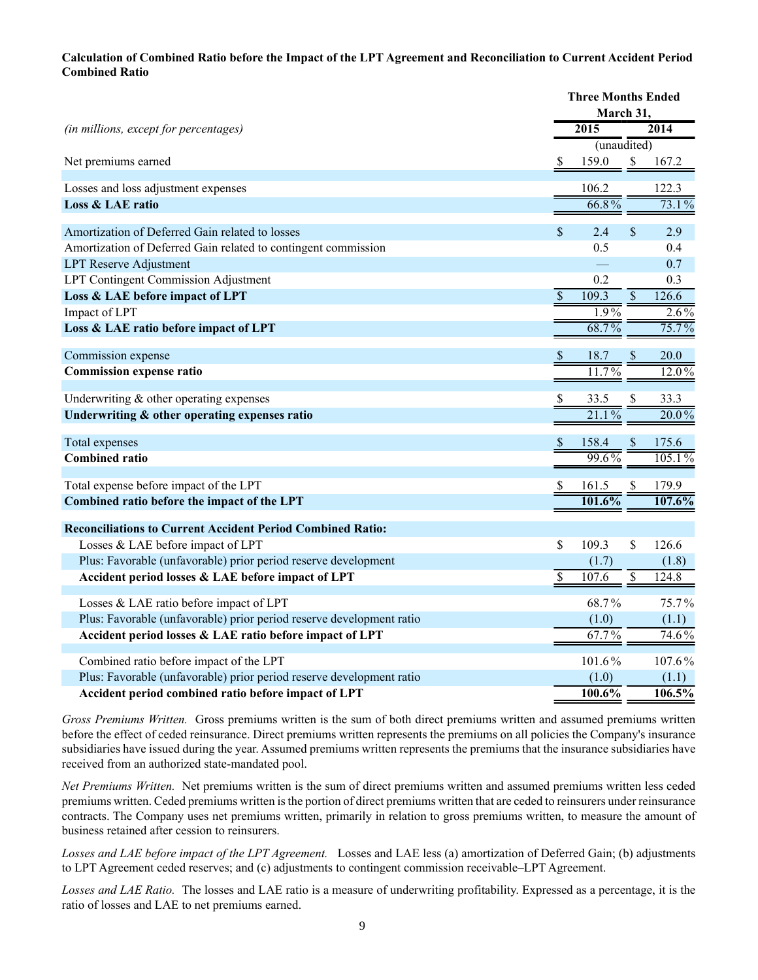### **Calculation of Combined Ratio before the Impact of the LPT Agreement and Reconciliation to Current Accident Period Combined Ratio**

|                                                                      |                           | <b>Three Months Ended</b> |                          |          |
|----------------------------------------------------------------------|---------------------------|---------------------------|--------------------------|----------|
|                                                                      |                           | March 31,                 |                          |          |
| (in millions, except for percentages)                                |                           | $\overline{2015}$         |                          | 2014     |
|                                                                      |                           | (unaudited)               |                          |          |
| Net premiums earned                                                  | S                         | 159.0                     | \$                       | 167.2    |
| Losses and loss adjustment expenses                                  |                           | 106.2                     |                          | 122.3    |
| Loss & LAE ratio                                                     |                           | 66.8%                     |                          | 73.1%    |
|                                                                      |                           |                           |                          |          |
| Amortization of Deferred Gain related to losses                      | $\mathsf{\$}$             | 2.4                       | $\mathbf{\hat{S}}$       | 2.9      |
| Amortization of Deferred Gain related to contingent commission       |                           | 0.5                       |                          | 0.4      |
| <b>LPT Reserve Adjustment</b>                                        |                           |                           |                          | 0.7      |
| LPT Contingent Commission Adjustment                                 |                           | 0.2                       |                          | 0.3      |
| Loss & LAE before impact of LPT                                      | $\overline{\mathcal{S}}$  | 109.3                     | $\overline{\mathcal{S}}$ | 126.6    |
| Impact of LPT                                                        |                           | $1.9\%$                   |                          | $2.6\%$  |
| Loss & LAE ratio before impact of LPT                                |                           | 68.7%                     |                          | 75.7%    |
|                                                                      |                           | 18.7                      |                          | 20.0     |
| Commission expense                                                   | $\boldsymbol{\mathsf{S}}$ | 11.7%                     | <sup>\$</sup>            |          |
| <b>Commission expense ratio</b>                                      |                           |                           |                          | $12.0\%$ |
| Underwriting $&$ other operating expenses                            | \$                        | 33.5                      |                          | 33.3     |
| Underwriting & other operating expenses ratio                        |                           | 21.1%                     |                          | 20.0%    |
|                                                                      |                           |                           |                          |          |
| Total expenses                                                       | \$                        | 158.4                     |                          | 175.6    |
| <b>Combined ratio</b>                                                |                           | 99.6%                     |                          | 105.1%   |
| Total expense before impact of the LPT                               | \$                        | 161.5                     | S                        | 179.9    |
| Combined ratio before the impact of the LPT                          |                           | 101.6%                    |                          | 107.6%   |
|                                                                      |                           |                           |                          |          |
| <b>Reconciliations to Current Accident Period Combined Ratio:</b>    |                           |                           |                          |          |
| Losses & LAE before impact of LPT                                    | \$                        | 109.3                     | \$                       | 126.6    |
| Plus: Favorable (unfavorable) prior period reserve development       |                           | (1.7)                     |                          | (1.8)    |
| Accident period losses & LAE before impact of LPT                    | $\overline{\mathcal{S}}$  | 107.6                     | $\overline{\$}$          | 124.8    |
| Losses & LAE ratio before impact of LPT                              |                           | 68.7%                     |                          | 75.7%    |
| Plus: Favorable (unfavorable) prior period reserve development ratio |                           | (1.0)                     |                          | (1.1)    |
| Accident period losses & LAE ratio before impact of LPT              |                           | 67.7%                     |                          | 74.6%    |
|                                                                      |                           |                           |                          |          |
| Combined ratio before impact of the LPT                              |                           | 101.6%                    |                          | 107.6%   |
| Plus: Favorable (unfavorable) prior period reserve development ratio |                           | (1.0)                     |                          | (1.1)    |
| Accident period combined ratio before impact of LPT                  |                           | 100.6%                    |                          | 106.5%   |

*Gross Premiums Written.* Gross premiums written is the sum of both direct premiums written and assumed premiums written before the effect of ceded reinsurance. Direct premiums written represents the premiums on all policies the Company's insurance subsidiaries have issued during the year. Assumed premiums written represents the premiums that the insurance subsidiaries have received from an authorized state-mandated pool.

*Net Premiums Written.* Net premiums written is the sum of direct premiums written and assumed premiums written less ceded premiums written. Ceded premiums written is the portion of direct premiums written that are ceded to reinsurers under reinsurance contracts. The Company uses net premiums written, primarily in relation to gross premiums written, to measure the amount of business retained after cession to reinsurers.

*Losses and LAE before impact of the LPT Agreement.* Losses and LAE less (a) amortization of Deferred Gain; (b) adjustments to LPT Agreement ceded reserves; and (c) adjustments to contingent commission receivable*–*LPT Agreement.

*Losses and LAE Ratio.* The losses and LAE ratio is a measure of underwriting profitability. Expressed as a percentage, it is the ratio of losses and LAE to net premiums earned.